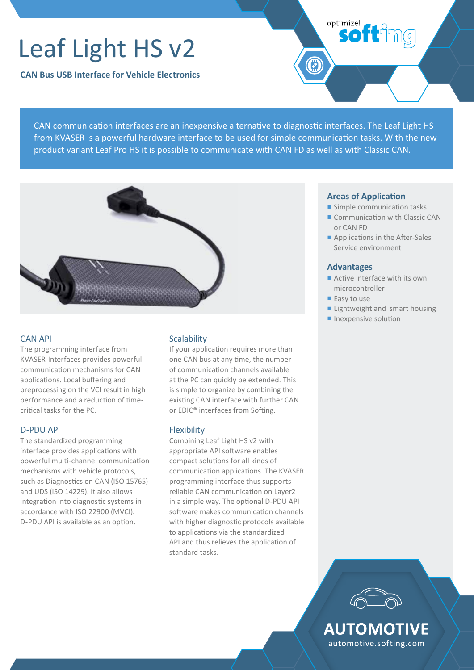# Leaf Light HS v2

**CAN Bus USB Interface for Vehicle Electronics**

CAN communication interfaces are an inexpensive alternative to diagnostic interfaces. The Leaf Light HS from KVASER is a powerful hardware interface to be used for simple communication tasks. With the new product variant Leaf Pro HS it is possible to communicate with CAN FD as well as with Classic CAN.



## CAN API

The programming interface from KVASER-Interfaces provides powerful communication mechanisms for CAN applications. Local buffering and preprocessing on the VCI result in high performance and a reduction of timecritical tasks for the PC.

# D-PDU API

The standardized programming interface provides applications with powerful multi-channel communication mechanisms with vehicle protocols, such as Diagnostics on CAN (ISO 15765) and UDS (ISO 14229). It also allows integration into diagnostic systems in accordance with ISO 22900 (MVCI). D-PDU API is available as an option.

# **Scalability**

If your application requires more than one CAN bus at any time, the number of communication channels available at the PC can quickly be extended. This is simple to organize by combining the existing CAN interface with further CAN or EDIC® interfaces from Softing.

### Flexibility

Combining Leaf Light HS v2 with appropriate API software enables compact solutions for all kinds of communication applications. The KVASER programming interface thus supports reliable CAN communication on Layer2 in a simple way. The optional D-PDU API software makes communication channels with higher diagnostic protocols available to applications via the standardized API and thus relieves the application of standard tasks.

### **Areas of Application**

- Simple communication tasks
- Communication with Classic CAN or CAN FD
- Applications in the After-Sales Service environment

# **Advantages**

optimize!

softimg

- Active interface with its own microcontroller
- Easy to use
- Lightweight and smart housing
- Inexpensive solution



**AUTOMOTIVE** automotive.softing.com